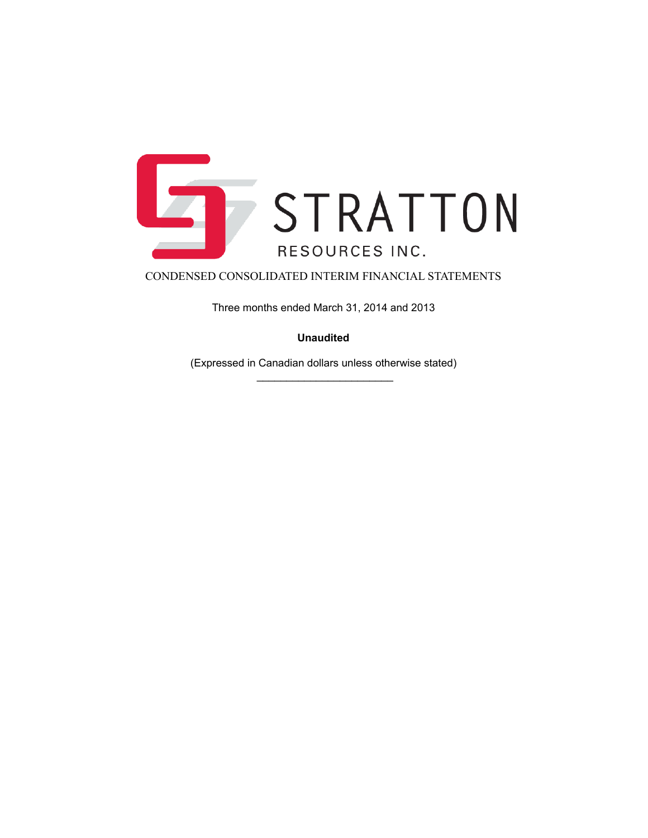

Three months ended March 31, 2014 and 2013

**Unaudited**

(Expressed in Canadian dollars unless otherwise stated)  $\frac{1}{2}$  ,  $\frac{1}{2}$  ,  $\frac{1}{2}$  ,  $\frac{1}{2}$  ,  $\frac{1}{2}$  ,  $\frac{1}{2}$  ,  $\frac{1}{2}$  ,  $\frac{1}{2}$  ,  $\frac{1}{2}$  ,  $\frac{1}{2}$  ,  $\frac{1}{2}$  ,  $\frac{1}{2}$  ,  $\frac{1}{2}$  ,  $\frac{1}{2}$  ,  $\frac{1}{2}$  ,  $\frac{1}{2}$  ,  $\frac{1}{2}$  ,  $\frac{1}{2}$  ,  $\frac{1$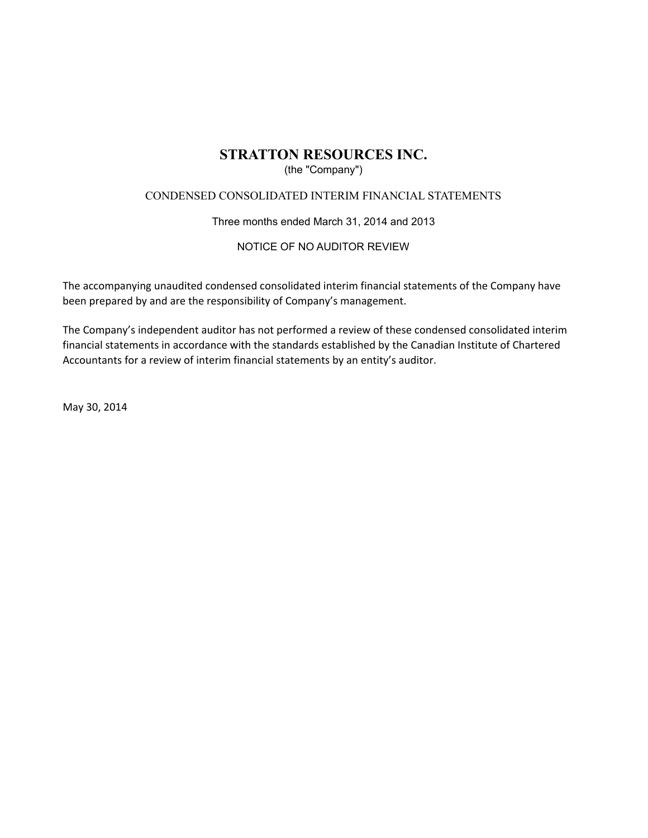### (the "Company")

### CONDENSED CONSOLIDATED INTERIM FINANCIAL STATEMENTS

### Three months ended March 31, 2014 and 2013

### NOTICE OF NO AUDITOR REVIEW

The accompanying unaudited condensed consolidated interim financial statements of the Company have been prepared by and are the responsibility of Company's management.

The Company's independent auditor has not performed a review of these condensed consolidated interim financial statements in accordance with the standards established by the Canadian Institute of Chartered Accountants for a review of interim financial statements by an entity's auditor.

May 30, 2014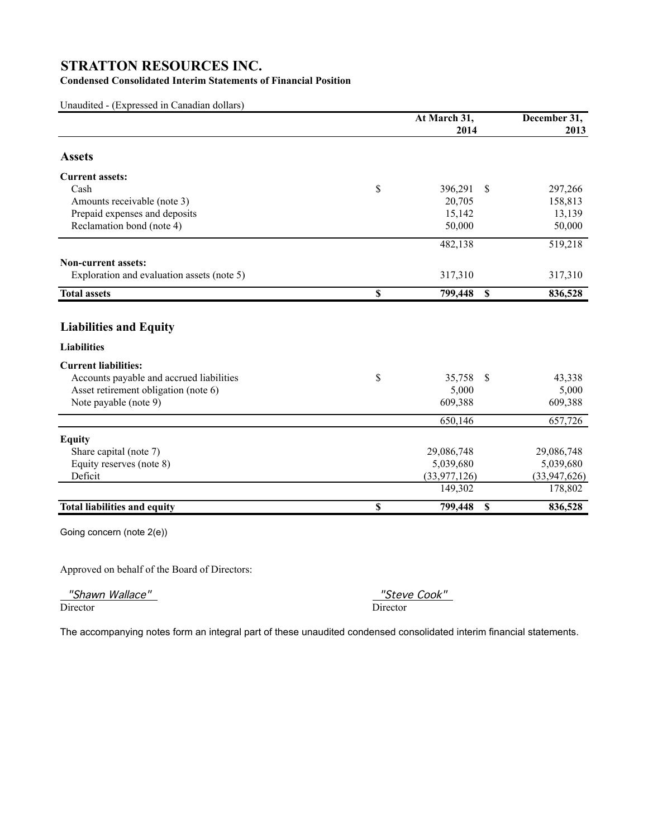### **Condensed Consolidated Interim Statements of Financial Position**

Unaudited - (Expressed in Canadian dollars)

|                                            | At March 31,   |              | December 31, |  |  |
|--------------------------------------------|----------------|--------------|--------------|--|--|
|                                            | 2014           |              | 2013         |  |  |
| <b>Assets</b>                              |                |              |              |  |  |
| <b>Current assets:</b>                     |                |              |              |  |  |
| Cash                                       | \$<br>396,291  | \$           | 297,266      |  |  |
| Amounts receivable (note 3)                | 20,705         |              | 158,813      |  |  |
| Prepaid expenses and deposits              | 15,142         |              | 13,139       |  |  |
| Reclamation bond (note 4)                  | 50,000         |              | 50,000       |  |  |
|                                            | 482,138        |              | 519,218      |  |  |
| <b>Non-current assets:</b>                 |                |              |              |  |  |
| Exploration and evaluation assets (note 5) | 317,310        |              | 317,310      |  |  |
| <b>Total assets</b>                        | \$<br>799,448  | $\mathbf{s}$ | 836,528      |  |  |
|                                            |                |              |              |  |  |
| <b>Liabilities and Equity</b>              |                |              |              |  |  |
| <b>Liabilities</b>                         |                |              |              |  |  |
| <b>Current liabilities:</b>                |                |              |              |  |  |
| Accounts payable and accrued liabilities   | \$<br>35,758   | \$           | 43,338       |  |  |
| Asset retirement obligation (note 6)       | 5,000          |              | 5,000        |  |  |
| Note payable (note 9)                      | 609,388        |              | 609,388      |  |  |
|                                            | 650,146        |              | 657,726      |  |  |
| <b>Equity</b>                              |                |              |              |  |  |
| Share capital (note 7)                     | 29,086,748     |              | 29,086,748   |  |  |
| Equity reserves (note 8)                   | 5,039,680      |              | 5,039,680    |  |  |
| Deficit                                    | (33, 977, 126) |              | (33,947,626) |  |  |
|                                            | 149,302        |              | 178,802      |  |  |
| <b>Total liabilities and equity</b>        | \$<br>799,448  | S            | 836,528      |  |  |
| Going concern (note 2(e))                  |                |              |              |  |  |
|                                            |                |              |              |  |  |

Approved on behalf of the Board of Directors:

"Shawn Wallace" "Steve Cook"

Director Director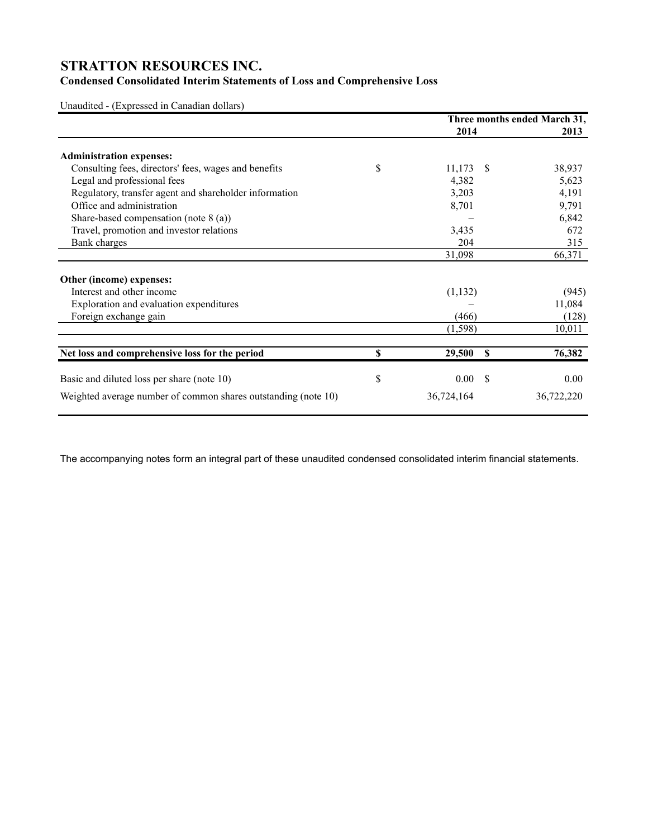### **Condensed Consolidated Interim Statements of Loss and Comprehensive Loss**

Unaudited - (Expressed in Canadian dollars)

|                                                                | Three months ended March 31, |               |            |
|----------------------------------------------------------------|------------------------------|---------------|------------|
|                                                                | 2014                         |               | 2013       |
| <b>Administration expenses:</b>                                |                              |               |            |
| Consulting fees, directors' fees, wages and benefits           | \$<br>11,173                 | <sup>\$</sup> | 38,937     |
| Legal and professional fees                                    | 4,382                        |               | 5,623      |
| Regulatory, transfer agent and shareholder information         | 3,203                        |               | 4,191      |
| Office and administration                                      | 8,701                        |               | 9,791      |
| Share-based compensation (note $8$ (a))                        |                              |               | 6,842      |
| Travel, promotion and investor relations                       | 3,435                        |               | 672        |
| Bank charges                                                   | 204                          |               | 315        |
|                                                                | 31,098                       |               | 66,371     |
| Other (income) expenses:                                       |                              |               |            |
| Interest and other income                                      | (1,132)                      |               | (945)      |
| Exploration and evaluation expenditures                        |                              |               | 11,084     |
| Foreign exchange gain                                          | (466)                        |               | (128)      |
|                                                                | (1,598)                      |               | 10,011     |
| Net loss and comprehensive loss for the period                 | \$<br>29,500                 | S             | 76,382     |
| Basic and diluted loss per share (note 10)                     | \$<br>0.00                   | -S            | 0.00       |
| Weighted average number of common shares outstanding (note 10) | 36,724,164                   |               | 36,722,220 |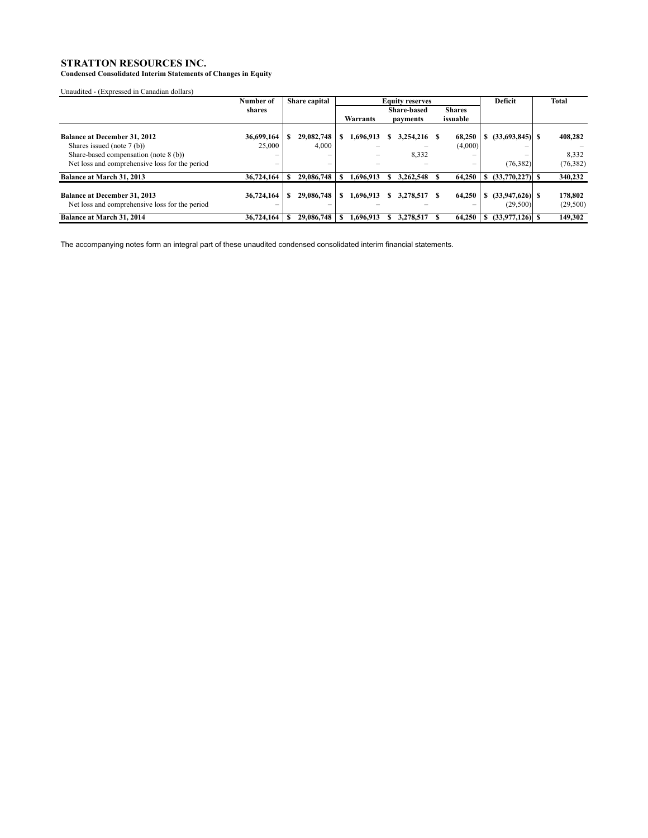**Condensed Consolidated Interim Statements of Changes in Equity**

Unaudited - (Expressed in Canadian dollars)

|                                                                                       | Number of  | Share capital            | <b>Equity reserves</b> |           |   |                    | Deficit       | Total |                               |                     |
|---------------------------------------------------------------------------------------|------------|--------------------------|------------------------|-----------|---|--------------------|---------------|-------|-------------------------------|---------------------|
|                                                                                       | shares     |                          |                        |           |   | <b>Share-based</b> | <b>Shares</b> |       |                               |                     |
|                                                                                       |            |                          |                        | Warrants  |   | payments           | issuable      |       |                               |                     |
| <b>Balance at December 31, 2012</b>                                                   | 36,699,164 | 29,082,748               |                        | 1,696,913 |   | 3,254,216          | 68,250        |       | $(33,693,845)$ S              | 408,282             |
| Shares issued (note 7 (b))                                                            | 25,000     | 4,000                    |                        |           |   |                    | (4,000)       |       |                               |                     |
| Share-based compensation (note 8 (b))                                                 |            | $\overline{\phantom{0}}$ |                        |           |   | 8,332              | -             |       |                               | 8,332               |
| Net loss and comprehensive loss for the period                                        | –          | $\qquad \qquad$          |                        |           |   |                    | -             |       | (76,382)                      | (76, 382)           |
| Balance at March 31, 2013                                                             | 36,724,164 | 29,086,748               |                        | 1.696.913 |   | 3.262.548          | 64,250        |       | $(33,770,227)$ S              | 340,232             |
| <b>Balance at December 31, 2013</b><br>Net loss and comprehensive loss for the period | 36,724,164 | 29,086,748               |                        | 1.696.913 | S | 3.278.517          | 64,250        | S.    | $(33,947,626)$ \$<br>(29,500) | 178,802<br>(29,500) |
| <b>Balance at March 31, 2014</b>                                                      | 36,724,164 | 29,086,748               |                        | 1.696.913 |   | 3.278.517          | 64,250        |       | $(33.977.126)$ S              | 149,302             |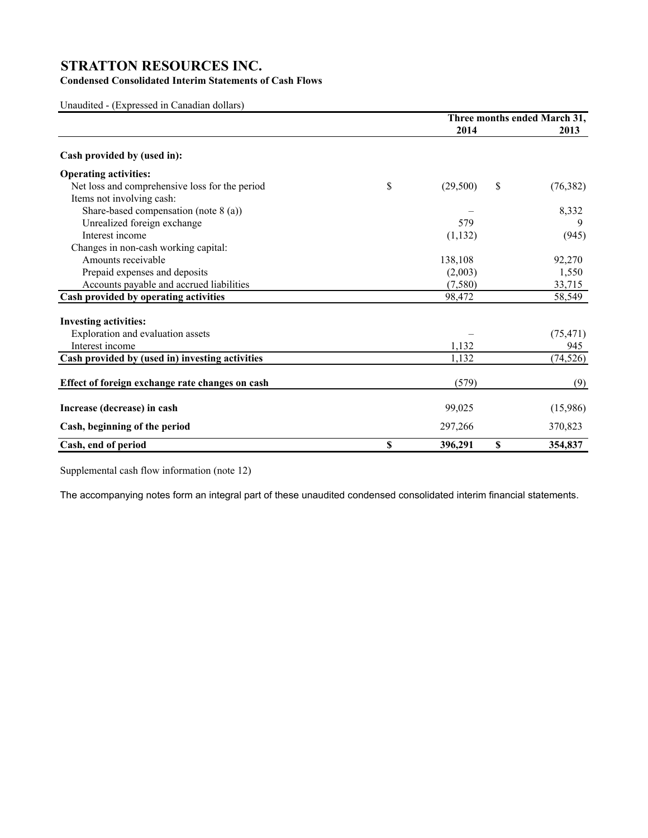### **Condensed Consolidated Interim Statements of Cash Flows**

Unaudited - (Expressed in Canadian dollars)

|                                                 | Three months ended March 31, |    |           |
|-------------------------------------------------|------------------------------|----|-----------|
|                                                 | 2014                         |    | 2013      |
| Cash provided by (used in):                     |                              |    |           |
| <b>Operating activities:</b>                    |                              |    |           |
| Net loss and comprehensive loss for the period  | \$<br>(29,500)               | \$ | (76, 382) |
| Items not involving cash:                       |                              |    |           |
| Share-based compensation (note 8 (a))           |                              |    | 8,332     |
| Unrealized foreign exchange                     | 579                          |    | 9         |
| Interest income                                 | (1, 132)                     |    | (945)     |
| Changes in non-cash working capital:            |                              |    |           |
| Amounts receivable                              | 138,108                      |    | 92,270    |
| Prepaid expenses and deposits                   | (2,003)                      |    | 1,550     |
| Accounts payable and accrued liabilities        | (7,580)                      |    | 33,715    |
| Cash provided by operating activities           | 98,472                       |    | 58,549    |
| <b>Investing activities:</b>                    |                              |    |           |
| Exploration and evaluation assets               |                              |    | (75, 471) |
| Interest income                                 | 1,132                        |    | 945       |
| Cash provided by (used in) investing activities | 1,132                        |    | (74, 526) |
| Effect of foreign exchange rate changes on cash | (579)                        |    | (9)       |
| Increase (decrease) in cash                     | 99,025                       |    | (15,986)  |
| Cash, beginning of the period                   | 297,266                      |    | 370,823   |
| Cash, end of period                             | \$<br>396,291                | \$ | 354,837   |

Supplemental cash flow information (note 12)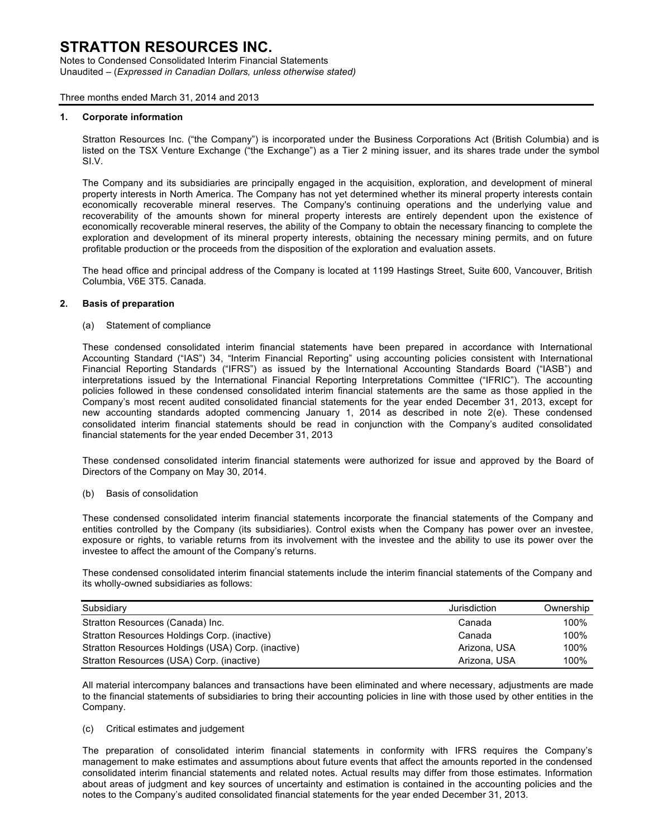Notes to Condensed Consolidated Interim Financial Statements Unaudited – (*Expressed in Canadian Dollars, unless otherwise stated)*

Three months ended March 31, 2014 and 2013

#### **1. Corporate information**

Stratton Resources Inc. ("the Company") is incorporated under the Business Corporations Act (British Columbia) and is listed on the TSX Venture Exchange ("the Exchange") as a Tier 2 mining issuer, and its shares trade under the symbol SI.V.

The Company and its subsidiaries are principally engaged in the acquisition, exploration, and development of mineral property interests in North America. The Company has not yet determined whether its mineral property interests contain economically recoverable mineral reserves. The Company's continuing operations and the underlying value and recoverability of the amounts shown for mineral property interests are entirely dependent upon the existence of economically recoverable mineral reserves, the ability of the Company to obtain the necessary financing to complete the exploration and development of its mineral property interests, obtaining the necessary mining permits, and on future profitable production or the proceeds from the disposition of the exploration and evaluation assets.

The head office and principal address of the Company is located at 1199 Hastings Street, Suite 600, Vancouver, British Columbia, V6E 3T5. Canada.

#### **2. Basis of preparation**

(a) Statement of compliance

These condensed consolidated interim financial statements have been prepared in accordance with International Accounting Standard ("IAS") 34, "Interim Financial Reporting" using accounting policies consistent with International Financial Reporting Standards ("IFRS") as issued by the International Accounting Standards Board ("IASB") and interpretations issued by the International Financial Reporting Interpretations Committee ("IFRIC"). The accounting policies followed in these condensed consolidated interim financial statements are the same as those applied in the Company's most recent audited consolidated financial statements for the year ended December 31, 2013, except for new accounting standards adopted commencing January 1, 2014 as described in note 2(e). These condensed consolidated interim financial statements should be read in conjunction with the Company's audited consolidated financial statements for the year ended December 31, 2013

These condensed consolidated interim financial statements were authorized for issue and approved by the Board of Directors of the Company on May 30, 2014.

#### (b) Basis of consolidation

These condensed consolidated interim financial statements incorporate the financial statements of the Company and entities controlled by the Company (its subsidiaries). Control exists when the Company has power over an investee, exposure or rights, to variable returns from its involvement with the investee and the ability to use its power over the investee to affect the amount of the Company's returns.

These condensed consolidated interim financial statements include the interim financial statements of the Company and its wholly-owned subsidiaries as follows:

| Subsidiary                                         | Jurisdiction | Ownership |
|----------------------------------------------------|--------------|-----------|
| Stratton Resources (Canada) Inc.                   | Canada       | 100%      |
| Stratton Resources Holdings Corp. (inactive)       | Canada       | 100%      |
| Stratton Resources Holdings (USA) Corp. (inactive) | Arizona, USA | 100%      |
| Stratton Resources (USA) Corp. (inactive)          | Arizona, USA | 100%      |

All material intercompany balances and transactions have been eliminated and where necessary, adjustments are made to the financial statements of subsidiaries to bring their accounting policies in line with those used by other entities in the Company.

#### (c) Critical estimates and judgement

The preparation of consolidated interim financial statements in conformity with IFRS requires the Company's management to make estimates and assumptions about future events that affect the amounts reported in the condensed consolidated interim financial statements and related notes. Actual results may differ from those estimates. Information about areas of judgment and key sources of uncertainty and estimation is contained in the accounting policies and the notes to the Company's audited consolidated financial statements for the year ended December 31, 2013.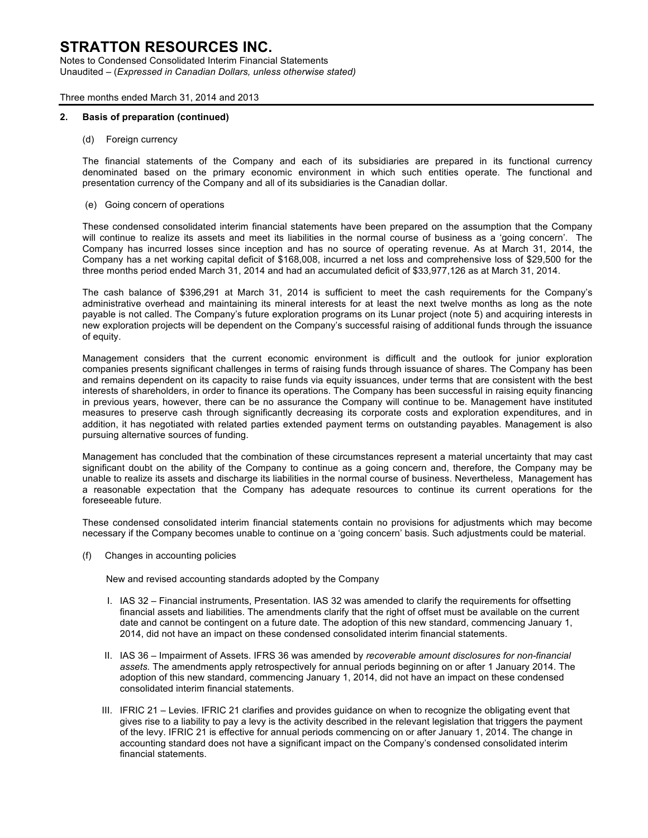Notes to Condensed Consolidated Interim Financial Statements Unaudited – (*Expressed in Canadian Dollars, unless otherwise stated)*

Three months ended March 31, 2014 and 2013

#### **2. Basis of preparation (continued)**

(d) Foreign currency

The financial statements of the Company and each of its subsidiaries are prepared in its functional currency denominated based on the primary economic environment in which such entities operate. The functional and presentation currency of the Company and all of its subsidiaries is the Canadian dollar.

(e) Going concern of operations

These condensed consolidated interim financial statements have been prepared on the assumption that the Company will continue to realize its assets and meet its liabilities in the normal course of business as a 'going concern'. The Company has incurred losses since inception and has no source of operating revenue. As at March 31, 2014, the Company has a net working capital deficit of \$168,008, incurred a net loss and comprehensive loss of \$29,500 for the three months period ended March 31, 2014 and had an accumulated deficit of \$33,977,126 as at March 31, 2014.

The cash balance of \$396,291 at March 31, 2014 is sufficient to meet the cash requirements for the Company's administrative overhead and maintaining its mineral interests for at least the next twelve months as long as the note payable is not called. The Company's future exploration programs on its Lunar project (note 5) and acquiring interests in new exploration projects will be dependent on the Company's successful raising of additional funds through the issuance of equity.

Management considers that the current economic environment is difficult and the outlook for junior exploration companies presents significant challenges in terms of raising funds through issuance of shares. The Company has been and remains dependent on its capacity to raise funds via equity issuances, under terms that are consistent with the best interests of shareholders, in order to finance its operations. The Company has been successful in raising equity financing in previous years, however, there can be no assurance the Company will continue to be. Management have instituted measures to preserve cash through significantly decreasing its corporate costs and exploration expenditures, and in addition, it has negotiated with related parties extended payment terms on outstanding payables. Management is also pursuing alternative sources of funding.

Management has concluded that the combination of these circumstances represent a material uncertainty that may cast significant doubt on the ability of the Company to continue as a going concern and, therefore, the Company may be unable to realize its assets and discharge its liabilities in the normal course of business. Nevertheless, Management has a reasonable expectation that the Company has adequate resources to continue its current operations for the foreseeable future.

These condensed consolidated interim financial statements contain no provisions for adjustments which may become necessary if the Company becomes unable to continue on a 'going concern' basis. Such adjustments could be material.

(f) Changes in accounting policies

New and revised accounting standards adopted by the Company

- I. IAS 32 Financial instruments, Presentation. IAS 32 was amended to clarify the requirements for offsetting financial assets and liabilities. The amendments clarify that the right of offset must be available on the current date and cannot be contingent on a future date. The adoption of this new standard, commencing January 1, 2014, did not have an impact on these condensed consolidated interim financial statements.
- II. IAS 36 Impairment of Assets. IFRS 36 was amended by *recoverable amount disclosures for non-financial assets.* The amendments apply retrospectively for annual periods beginning on or after 1 January 2014. The adoption of this new standard, commencing January 1, 2014, did not have an impact on these condensed consolidated interim financial statements.
- III. IFRIC 21 Levies. IFRIC 21 clarifies and provides guidance on when to recognize the obligating event that gives rise to a liability to pay a levy is the activity described in the relevant legislation that triggers the payment of the levy. IFRIC 21 is effective for annual periods commencing on or after January 1, 2014. The change in accounting standard does not have a significant impact on the Company's condensed consolidated interim financial statements.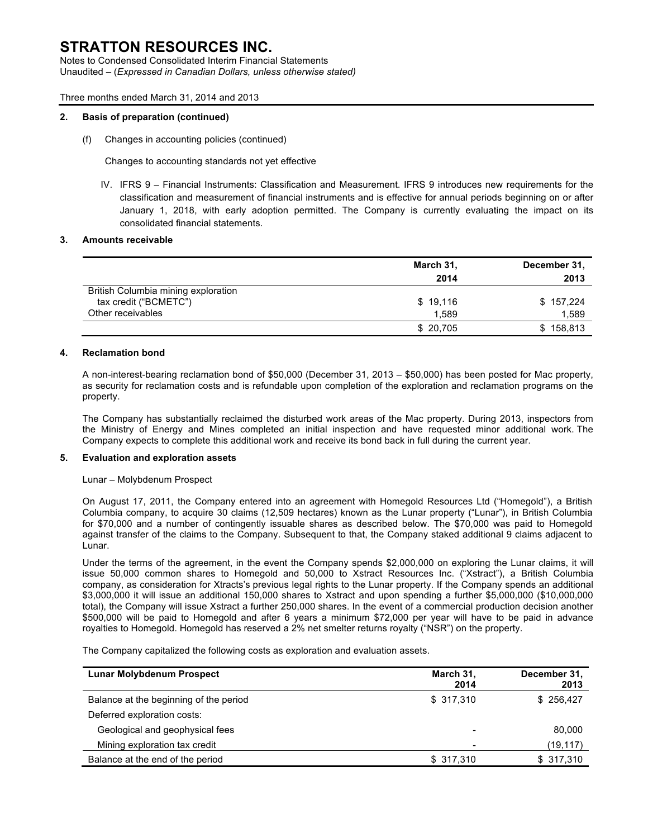Notes to Condensed Consolidated Interim Financial Statements Unaudited – (*Expressed in Canadian Dollars, unless otherwise stated)*

#### Three months ended March 31, 2014 and 2013

#### **2. Basis of preparation (continued)**

(f) Changes in accounting policies (continued)

Changes to accounting standards not yet effective

IV. IFRS 9 – Financial Instruments: Classification and Measurement. IFRS 9 introduces new requirements for the classification and measurement of financial instruments and is effective for annual periods beginning on or after January 1, 2018, with early adoption permitted. The Company is currently evaluating the impact on its consolidated financial statements.

#### **3. Amounts receivable**

|                                     | March 31, | December 31, |  |  |
|-------------------------------------|-----------|--------------|--|--|
|                                     | 2014      | 2013         |  |  |
| British Columbia mining exploration |           |              |  |  |
| tax credit ("BCMETC")               | \$19,116  | \$157,224    |  |  |
| Other receivables                   | 1.589     | 1,589        |  |  |
|                                     | \$20,705  | \$158,813    |  |  |

#### **4. Reclamation bond**

A non-interest-bearing reclamation bond of \$50,000 (December 31, 2013 – \$50,000) has been posted for Mac property, as security for reclamation costs and is refundable upon completion of the exploration and reclamation programs on the property.

The Company has substantially reclaimed the disturbed work areas of the Mac property. During 2013, inspectors from the Ministry of Energy and Mines completed an initial inspection and have requested minor additional work. The Company expects to complete this additional work and receive its bond back in full during the current year.

#### **5. Evaluation and exploration assets**

#### Lunar – Molybdenum Prospect

On August 17, 2011, the Company entered into an agreement with Homegold Resources Ltd ("Homegold"), a British Columbia company, to acquire 30 claims (12,509 hectares) known as the Lunar property ("Lunar"), in British Columbia for \$70,000 and a number of contingently issuable shares as described below. The \$70,000 was paid to Homegold against transfer of the claims to the Company. Subsequent to that, the Company staked additional 9 claims adjacent to Lunar.

Under the terms of the agreement, in the event the Company spends \$2,000,000 on exploring the Lunar claims, it will issue 50,000 common shares to Homegold and 50,000 to Xstract Resources Inc. ("Xstract"), a British Columbia company, as consideration for Xtracts's previous legal rights to the Lunar property. If the Company spends an additional \$3,000,000 it will issue an additional 150,000 shares to Xstract and upon spending a further \$5,000,000 (\$10,000,000 total), the Company will issue Xstract a further 250,000 shares. In the event of a commercial production decision another \$500,000 will be paid to Homegold and after 6 years a minimum \$72,000 per year will have to be paid in advance royalties to Homegold. Homegold has reserved a 2% net smelter returns royalty ("NSR") on the property.

The Company capitalized the following costs as exploration and evaluation assets.

| <b>Lunar Molybdenum Prospect</b>       | March 31,<br>2014 | December 31,<br>2013 |
|----------------------------------------|-------------------|----------------------|
| Balance at the beginning of the period | \$317,310         | \$256,427            |
| Deferred exploration costs:            |                   |                      |
| Geological and geophysical fees        | -                 | 80,000               |
| Mining exploration tax credit          | -                 | (19,117)             |
| Balance at the end of the period       | \$317,310         | \$317,310            |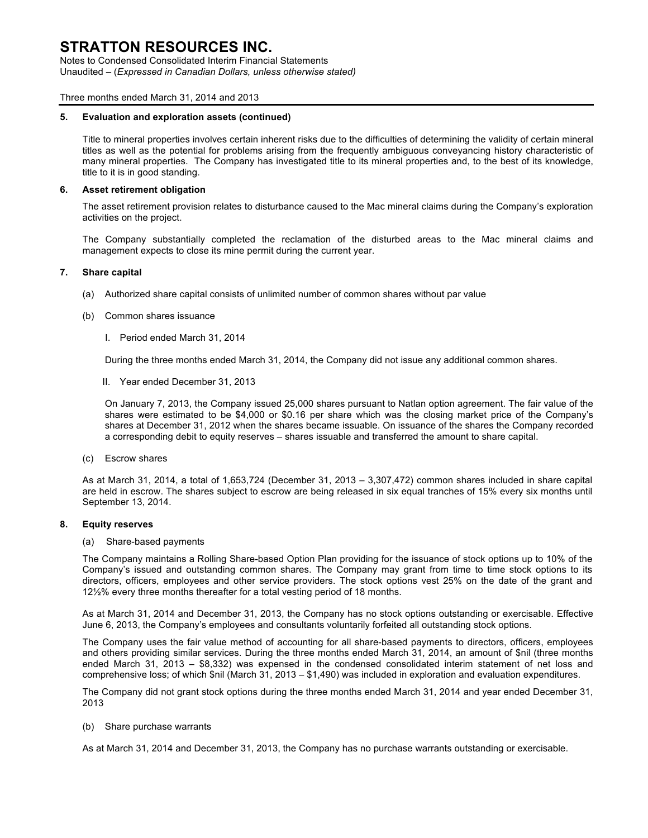Notes to Condensed Consolidated Interim Financial Statements Unaudited – (*Expressed in Canadian Dollars, unless otherwise stated)*

#### Three months ended March 31, 2014 and 2013

#### **5. Evaluation and exploration assets (continued)**

Title to mineral properties involves certain inherent risks due to the difficulties of determining the validity of certain mineral titles as well as the potential for problems arising from the frequently ambiguous conveyancing history characteristic of many mineral properties. The Company has investigated title to its mineral properties and, to the best of its knowledge, title to it is in good standing.

#### **6. Asset retirement obligation**

The asset retirement provision relates to disturbance caused to the Mac mineral claims during the Company's exploration activities on the project.

The Company substantially completed the reclamation of the disturbed areas to the Mac mineral claims and management expects to close its mine permit during the current year.

#### **7. Share capital**

- (a) Authorized share capital consists of unlimited number of common shares without par value
- (b) Common shares issuance
	- I. Period ended March 31, 2014

During the three months ended March 31, 2014, the Company did not issue any additional common shares.

II. Year ended December 31, 2013

On January 7, 2013, the Company issued 25,000 shares pursuant to Natlan option agreement. The fair value of the shares were estimated to be \$4,000 or \$0.16 per share which was the closing market price of the Company's shares at December 31, 2012 when the shares became issuable. On issuance of the shares the Company recorded a corresponding debit to equity reserves – shares issuable and transferred the amount to share capital.

(c) Escrow shares

As at March 31, 2014, a total of 1,653,724 (December 31, 2013 – 3,307,472) common shares included in share capital are held in escrow. The shares subject to escrow are being released in six equal tranches of 15% every six months until September 13, 2014.

#### **8. Equity reserves**

(a) Share-based payments

The Company maintains a Rolling Share-based Option Plan providing for the issuance of stock options up to 10% of the Company's issued and outstanding common shares. The Company may grant from time to time stock options to its directors, officers, employees and other service providers. The stock options vest 25% on the date of the grant and 12½% every three months thereafter for a total vesting period of 18 months.

As at March 31, 2014 and December 31, 2013, the Company has no stock options outstanding or exercisable. Effective June 6, 2013, the Company's employees and consultants voluntarily forfeited all outstanding stock options.

The Company uses the fair value method of accounting for all share-based payments to directors, officers, employees and others providing similar services. During the three months ended March 31, 2014, an amount of \$nil (three months ended March 31, 2013 – \$8,332) was expensed in the condensed consolidated interim statement of net loss and comprehensive loss; of which \$nil (March 31, 2013 – \$1,490) was included in exploration and evaluation expenditures.

The Company did not grant stock options during the three months ended March 31, 2014 and year ended December 31, 2013

(b) Share purchase warrants

As at March 31, 2014 and December 31, 2013, the Company has no purchase warrants outstanding or exercisable.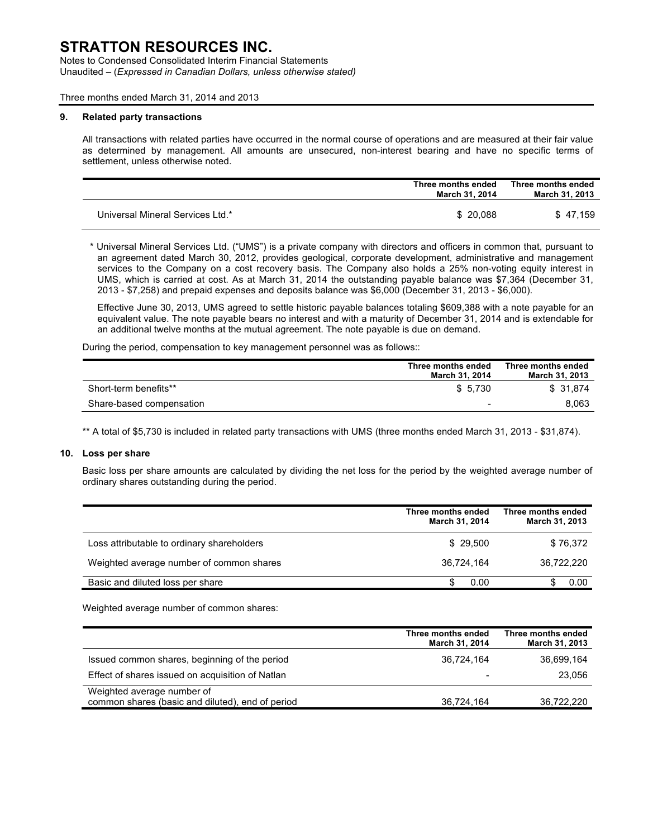Notes to Condensed Consolidated Interim Financial Statements Unaudited – (*Expressed in Canadian Dollars, unless otherwise stated)*

Three months ended March 31, 2014 and 2013

#### **9. Related party transactions**

All transactions with related parties have occurred in the normal course of operations and are measured at their fair value as determined by management. All amounts are unsecured, non-interest bearing and have no specific terms of settlement, unless otherwise noted.

|                                  | Three months ended<br>March 31, 2014 | Three months ended<br>March 31, 2013 |
|----------------------------------|--------------------------------------|--------------------------------------|
| Universal Mineral Services Ltd.* | \$ 20.088                            | \$47.159                             |

\* Universal Mineral Services Ltd. ("UMS") is a private company with directors and officers in common that, pursuant to an agreement dated March 30, 2012, provides geological, corporate development, administrative and management services to the Company on a cost recovery basis. The Company also holds a 25% non-voting equity interest in UMS, which is carried at cost. As at March 31, 2014 the outstanding payable balance was \$7,364 (December 31, 2013 - \$7,258) and prepaid expenses and deposits balance was \$6,000 (December 31, 2013 - \$6,000).

Effective June 30, 2013, UMS agreed to settle historic payable balances totaling \$609,388 with a note payable for an equivalent value. The note payable bears no interest and with a maturity of December 31, 2014 and is extendable for an additional twelve months at the mutual agreement. The note payable is due on demand.

During the period, compensation to key management personnel was as follows::

|                          | Three months ended<br>March 31, 2014 | Three months ended<br>March 31, 2013 |
|--------------------------|--------------------------------------|--------------------------------------|
| Short-term benefits**    | \$ 5.730                             | \$ 31.874                            |
| Share-based compensation | -                                    | 8.063                                |

\*\* A total of \$5,730 is included in related party transactions with UMS (three months ended March 31, 2013 - \$31,874).

#### **10. Loss per share**

Basic loss per share amounts are calculated by dividing the net loss for the period by the weighted average number of ordinary shares outstanding during the period.

|                                            | Three months ended<br>March 31, 2014 | Three months ended<br><b>March 31, 2013</b> |
|--------------------------------------------|--------------------------------------|---------------------------------------------|
| Loss attributable to ordinary shareholders | \$29,500                             | \$76,372                                    |
| Weighted average number of common shares   | 36.724.164                           | 36.722.220                                  |
| Basic and diluted loss per share           | 0.00                                 | 0.00                                        |

Weighted average number of common shares:

|                                                                                | Three months ended<br>March 31, 2014 | Three months ended<br>March 31, 2013 |
|--------------------------------------------------------------------------------|--------------------------------------|--------------------------------------|
| Issued common shares, beginning of the period                                  | 36.724.164                           | 36,699,164                           |
| Effect of shares issued on acquisition of Natlan                               | -                                    | 23.056                               |
| Weighted average number of<br>common shares (basic and diluted), end of period | 36,724,164                           | 36.722.220                           |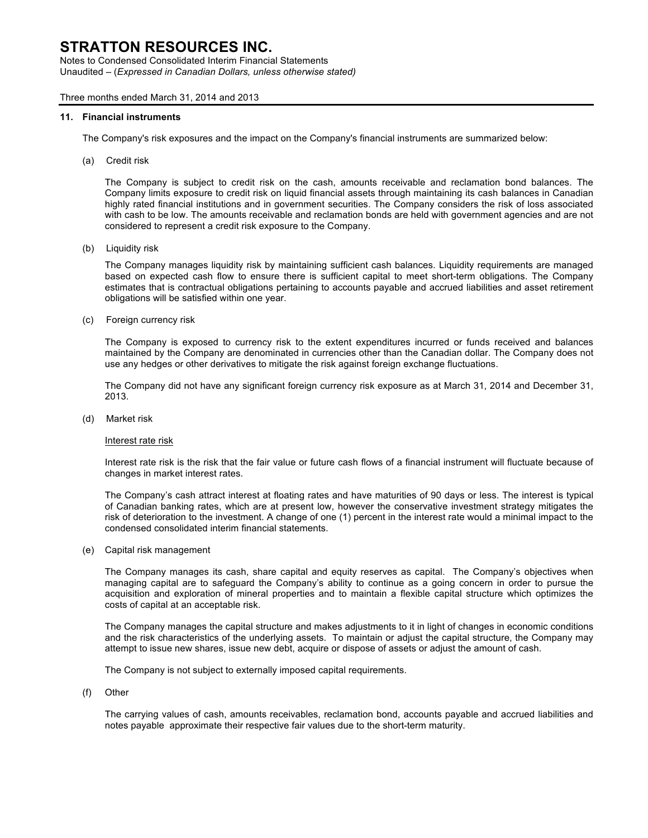Notes to Condensed Consolidated Interim Financial Statements Unaudited – (*Expressed in Canadian Dollars, unless otherwise stated)*

#### Three months ended March 31, 2014 and 2013

#### **11. Financial instruments**

The Company's risk exposures and the impact on the Company's financial instruments are summarized below:

(a) Credit risk

The Company is subject to credit risk on the cash, amounts receivable and reclamation bond balances. The Company limits exposure to credit risk on liquid financial assets through maintaining its cash balances in Canadian highly rated financial institutions and in government securities. The Company considers the risk of loss associated with cash to be low. The amounts receivable and reclamation bonds are held with government agencies and are not considered to represent a credit risk exposure to the Company.

(b) Liquidity risk

The Company manages liquidity risk by maintaining sufficient cash balances. Liquidity requirements are managed based on expected cash flow to ensure there is sufficient capital to meet short-term obligations. The Company estimates that is contractual obligations pertaining to accounts payable and accrued liabilities and asset retirement obligations will be satisfied within one year.

(c) Foreign currency risk

The Company is exposed to currency risk to the extent expenditures incurred or funds received and balances maintained by the Company are denominated in currencies other than the Canadian dollar. The Company does not use any hedges or other derivatives to mitigate the risk against foreign exchange fluctuations.

The Company did not have any significant foreign currency risk exposure as at March 31, 2014 and December 31, 2013.

(d) Market risk

#### Interest rate risk

Interest rate risk is the risk that the fair value or future cash flows of a financial instrument will fluctuate because of changes in market interest rates.

The Company's cash attract interest at floating rates and have maturities of 90 days or less. The interest is typical of Canadian banking rates, which are at present low, however the conservative investment strategy mitigates the risk of deterioration to the investment. A change of one (1) percent in the interest rate would a minimal impact to the condensed consolidated interim financial statements.

(e) Capital risk management

The Company manages its cash, share capital and equity reserves as capital. The Company's objectives when managing capital are to safeguard the Company's ability to continue as a going concern in order to pursue the acquisition and exploration of mineral properties and to maintain a flexible capital structure which optimizes the costs of capital at an acceptable risk.

The Company manages the capital structure and makes adjustments to it in light of changes in economic conditions and the risk characteristics of the underlying assets. To maintain or adjust the capital structure, the Company may attempt to issue new shares, issue new debt, acquire or dispose of assets or adjust the amount of cash.

The Company is not subject to externally imposed capital requirements.

(f) Other

The carrying values of cash, amounts receivables, reclamation bond, accounts payable and accrued liabilities and notes payable approximate their respective fair values due to the short-term maturity.